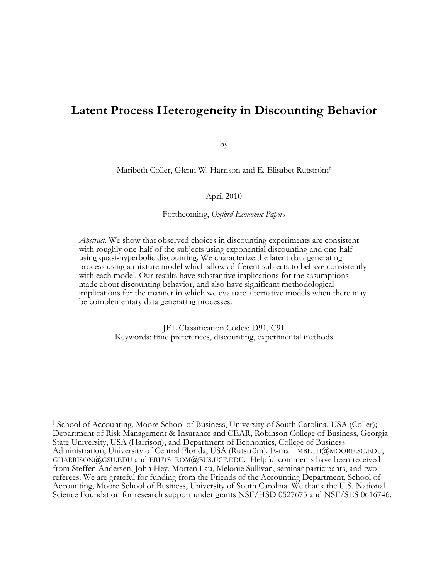# **Latent Process Heterogeneity in Discounting Behavior**

by

Maribeth Coller, Glenn W. Harrison and E. Elisabet Rutström†

April 2010

Forthcoming, *Oxford Economic Papers*

*Abstract.* We show that observed choices in discounting experiments are consistent with roughly one-half of the subjects using exponential discounting and one-half using quasi-hyperbolic discounting. We characterize the latent data generating process using a mixture model which allows different subjects to behave consistently with each model. Our results have substantive implications for the assumptions made about discounting behavior, and also have significant methodological implications for the manner in which we evaluate alternative models when there may be complementary data generating processes.

> JEL Classification Codes: D91, C91 Keywords: time preferences, discounting, experimental methods

† School of Accounting, Moore School of Business, University of South Carolina, USA (Coller); Department of Risk Management & Insurance and CEAR, Robinson College of Business, Georgia State University, USA (Harrison), and Department of Economics, College of Business Administration, University of Central Florida, USA (Rutström). E-mail: MBETH@MOORE.SC.EDU, GHARRISON@GSU.EDU and ERUTSTROM@BUS.UCF.EDU. Helpful comments have been received from Steffen Andersen, John Hey, Morten Lau, Melonie Sullivan, seminar participants, and two referees. We are grateful for funding from the Friends of the Accounting Department, School of Accounting, Moore School of Business, University of South Carolina. We thank the U.S. National Science Foundation for research support under grants NSF/HSD 0527675 and NSF/SES 0616746.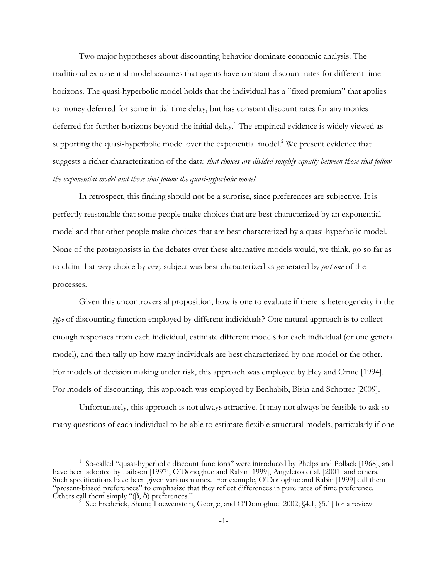Two major hypotheses about discounting behavior dominate economic analysis. The traditional exponential model assumes that agents have constant discount rates for different time horizons. The quasi-hyperbolic model holds that the individual has a "fixed premium" that applies to money deferred for some initial time delay, but has constant discount rates for any monies deferred for further horizons beyond the initial delay.<sup>1</sup> The empirical evidence is widely viewed as supporting the quasi-hyperbolic model over the exponential model.<sup>2</sup> We present evidence that suggests a richer characterization of the data: *that choices are divided roughly equally between those that follow the exponential model and those that follow the quasi-hyperbolic model.*

In retrospect, this finding should not be a surprise, since preferences are subjective. It is perfectly reasonable that some people make choices that are best characterized by an exponential model and that other people make choices that are best characterized by a quasi-hyperbolic model. None of the protagonsists in the debates over these alternative models would, we think, go so far as to claim that *every* choice by *every* subject was best characterized as generated by *just one* of the processes.

Given this uncontroversial proposition, how is one to evaluate if there is heterogeneity in the *type* of discounting function employed by different individuals? One natural approach is to collect enough responses from each individual, estimate different models for each individual (or one general model), and then tally up how many individuals are best characterized by one model or the other. For models of decision making under risk, this approach was employed by Hey and Orme [1994]. For models of discounting, this approach was employed by Benhabib, Bisin and Schotter [2009].

Unfortunately, this approach is not always attractive. It may not always be feasible to ask so many questions of each individual to be able to estimate flexible structural models, particularly if one

<sup>&</sup>lt;sup>1</sup> So-called "quasi-hyperbolic discount functions" were introduced by Phelps and Pollack [1968], and have been adopted by Laibson [1997], O'Donoghue and Rabin [1999], Angeletos et al. [2001] and others. Such specifications have been given various names. For example, O'Donoghue and Rabin [1999] call them "present-biased preferences" to emphasize that they reflect differences in pure rates of time preference. Others call them simply " $(\beta, \delta)$  preferences."

See Frederick, Shane; Loewenstein, George, and O'Donoghue [2002; §4.1, §5.1] for a review.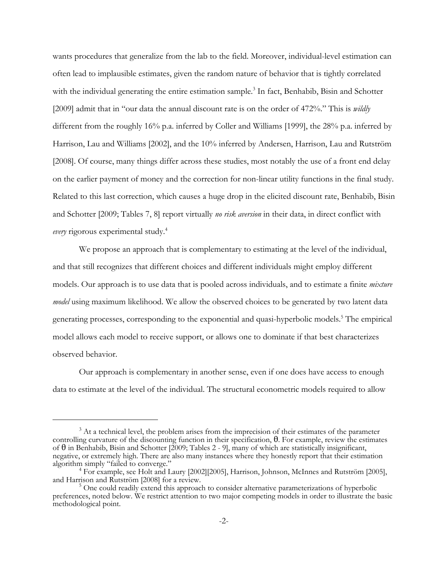wants procedures that generalize from the lab to the field. Moreover, individual-level estimation can often lead to implausible estimates, given the random nature of behavior that is tightly correlated with the individual generating the entire estimation sample.<sup>3</sup> In fact, Benhabib, Bisin and Schotter [2009] admit that in "our data the annual discount rate is on the order of 472%." This is *wildly* different from the roughly 16% p.a. inferred by Coller and Williams [1999], the 28% p.a. inferred by Harrison, Lau and Williams [2002], and the 10% inferred by Andersen, Harrison, Lau and Rutström [2008]. Of course, many things differ across these studies, most notably the use of a front end delay on the earlier payment of money and the correction for non-linear utility functions in the final study. Related to this last correction, which causes a huge drop in the elicited discount rate, Benhabib, Bisin and Schotter [2009; Tables 7, 8] report virtually *no risk aversion* in their data, in direct conflict with *every* rigorous experimental study.<sup>4</sup>

We propose an approach that is complementary to estimating at the level of the individual, and that still recognizes that different choices and different individuals might employ different models. Our approach is to use data that is pooled across individuals, and to estimate a finite *mixture model* using maximum likelihood. We allow the observed choices to be generated by two latent data generating processes, corresponding to the exponential and quasi-hyperbolic models.<sup>5</sup> The empirical model allows each model to receive support, or allows one to dominate if that best characterizes observed behavior.

Our approach is complementary in another sense, even if one does have access to enough data to estimate at the level of the individual. The structural econometric models required to allow

 $3$  At a technical level, the problem arises from the imprecision of their estimates of the parameter controlling curvature of the discounting function in their specification,  $\theta$ . For example, review the estimates of  $\theta$  in Benhabib, Bisin and Schotter [2009; Tables 2 - 9], many of which are statistically insignificant, negative, or extremely high. There are also many instances where they honestly report that their estimation algorithm simply "failed to converge."

<sup>&</sup>lt;sup>4</sup> For example, see Holt and Laury [2002][2005], Harrison, Johnson, McInnes and Rutström [2005], and Harrison and Rutström [2008] for a review.

 $5$  One could readily extend this approach to consider alternative parameterizations of hyperbolic preferences, noted below. We restrict attention to two major competing models in order to illustrate the basic methodological point.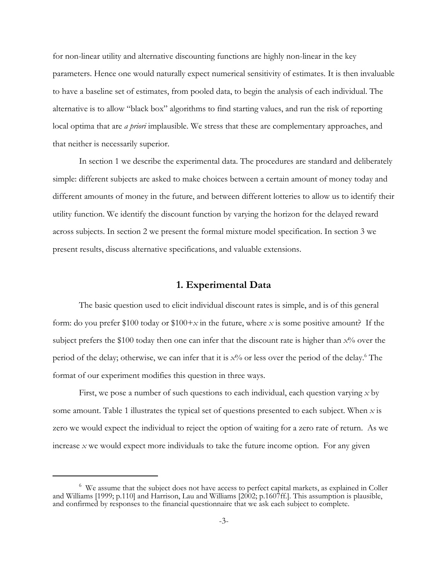for non-linear utility and alternative discounting functions are highly non-linear in the key parameters. Hence one would naturally expect numerical sensitivity of estimates. It is then invaluable to have a baseline set of estimates, from pooled data, to begin the analysis of each individual. The alternative is to allow "black box" algorithms to find starting values, and run the risk of reporting local optima that are *a priori* implausible. We stress that these are complementary approaches, and that neither is necessarily superior.

In section 1 we describe the experimental data. The procedures are standard and deliberately simple: different subjects are asked to make choices between a certain amount of money today and different amounts of money in the future, and between different lotteries to allow us to identify their utility function. We identify the discount function by varying the horizon for the delayed reward across subjects. In section 2 we present the formal mixture model specification. In section 3 we present results, discuss alternative specifications, and valuable extensions.

## **1. Experimental Data**

The basic question used to elicit individual discount rates is simple, and is of this general form: do you prefer \$100 today or  $$100+x$  in the future, where *x* is some positive amount? If the subject prefers the \$100 today then one can infer that the discount rate is higher than *x*% over the period of the delay; otherwise, we can infer that it is  $x^{\alpha}$  or less over the period of the delay.<sup>6</sup> The format of our experiment modifies this question in three ways.

First, we pose a number of such questions to each individual, each question varying *x* by some amount. Table 1 illustrates the typical set of questions presented to each subject. When *x* is zero we would expect the individual to reject the option of waiting for a zero rate of return. As we increase *x* we would expect more individuals to take the future income option. For any given

<sup>&</sup>lt;sup>6</sup> We assume that the subject does not have access to perfect capital markets, as explained in Coller and Williams [1999; p.110] and Harrison, Lau and Williams [2002; p.1607ff.]. This assumption is plausible, and confirmed by responses to the financial questionnaire that we ask each subject to complete.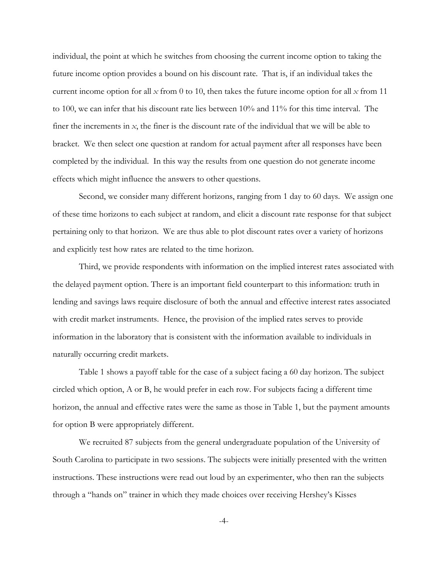individual, the point at which he switches from choosing the current income option to taking the future income option provides a bound on his discount rate. That is, if an individual takes the current income option for all  $x$  from 0 to 10, then takes the future income option for all  $x$  from 11 to 100, we can infer that his discount rate lies between 10% and 11% for this time interval. The finer the increments in *x*, the finer is the discount rate of the individual that we will be able to bracket. We then select one question at random for actual payment after all responses have been completed by the individual. In this way the results from one question do not generate income effects which might influence the answers to other questions.

Second, we consider many different horizons, ranging from 1 day to 60 days. We assign one of these time horizons to each subject at random, and elicit a discount rate response for that subject pertaining only to that horizon. We are thus able to plot discount rates over a variety of horizons and explicitly test how rates are related to the time horizon.

Third, we provide respondents with information on the implied interest rates associated with the delayed payment option. There is an important field counterpart to this information: truth in lending and savings laws require disclosure of both the annual and effective interest rates associated with credit market instruments. Hence, the provision of the implied rates serves to provide information in the laboratory that is consistent with the information available to individuals in naturally occurring credit markets.

Table 1 shows a payoff table for the case of a subject facing a 60 day horizon. The subject circled which option, A or B, he would prefer in each row. For subjects facing a different time horizon, the annual and effective rates were the same as those in Table 1, but the payment amounts for option B were appropriately different.

We recruited 87 subjects from the general undergraduate population of the University of South Carolina to participate in two sessions. The subjects were initially presented with the written instructions. These instructions were read out loud by an experimenter, who then ran the subjects through a "hands on" trainer in which they made choices over receiving Hershey's Kisses

-4-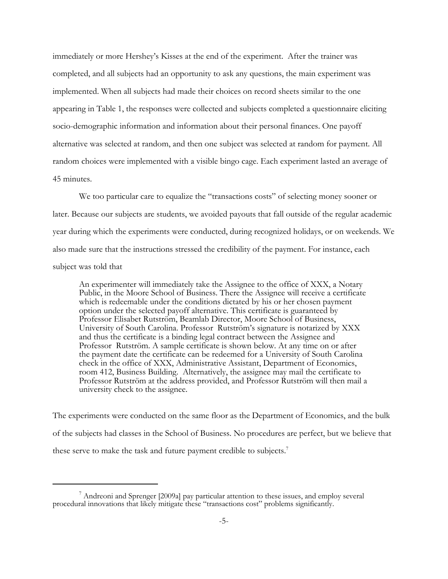immediately or more Hershey's Kisses at the end of the experiment. After the trainer was completed, and all subjects had an opportunity to ask any questions, the main experiment was implemented. When all subjects had made their choices on record sheets similar to the one appearing in Table 1, the responses were collected and subjects completed a questionnaire eliciting socio-demographic information and information about their personal finances. One payoff alternative was selected at random, and then one subject was selected at random for payment. All random choices were implemented with a visible bingo cage. Each experiment lasted an average of 45 minutes.

We too particular care to equalize the "transactions costs" of selecting money sooner or later. Because our subjects are students, we avoided payouts that fall outside of the regular academic year during which the experiments were conducted, during recognized holidays, or on weekends. We also made sure that the instructions stressed the credibility of the payment. For instance, each subject was told that

An experimenter will immediately take the Assignee to the office of XXX, a Notary Public, in the Moore School of Business. There the Assignee will receive a certificate which is redeemable under the conditions dictated by his or her chosen payment option under the selected payoff alternative. This certificate is guaranteed by Professor Elisabet Rutström, Beamlab Director, Moore School of Business, University of South Carolina. Professor Rutström's signature is notarized by XXX and thus the certificate is a binding legal contract between the Assignee and Professor Rutström. A sample certificate is shown below. At any time on or after the payment date the certificate can be redeemed for a University of South Carolina check in the office of XXX, Administrative Assistant, Department of Economics, room 412, Business Building. Alternatively, the assignee may mail the certificate to Professor Rutström at the address provided, and Professor Rutström will then mail a university check to the assignee.

The experiments were conducted on the same floor as the Department of Economics, and the bulk of the subjects had classes in the School of Business. No procedures are perfect, but we believe that these serve to make the task and future payment credible to subjects.<sup>7</sup>

<sup>&</sup>lt;sup>7</sup> Andreoni and Sprenger [2009a] pay particular attention to these issues, and employ several procedural innovations that likely mitigate these "transactions cost" problems significantly.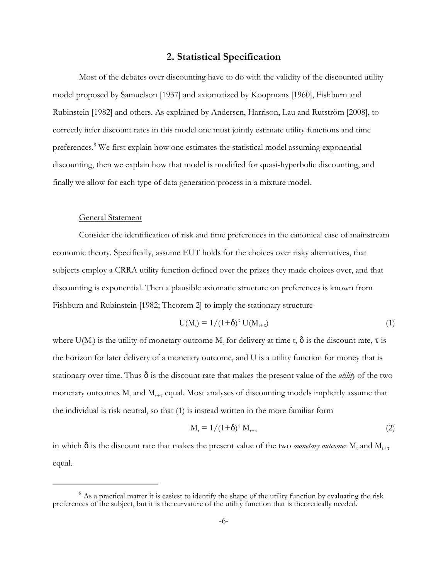## **2. Statistical Specification**

Most of the debates over discounting have to do with the validity of the discounted utility model proposed by Samuelson [1937] and axiomatized by Koopmans [1960], Fishburn and Rubinstein [1982] and others. As explained by Andersen, Harrison, Lau and Rutström [2008], to correctly infer discount rates in this model one must jointly estimate utility functions and time preferences.<sup>8</sup> We first explain how one estimates the statistical model assuming exponential discounting, then we explain how that model is modified for quasi-hyperbolic discounting, and finally we allow for each type of data generation process in a mixture model.

#### General Statement

Consider the identification of risk and time preferences in the canonical case of mainstream economic theory. Specifically, assume EUT holds for the choices over risky alternatives, that subjects employ a CRRA utility function defined over the prizes they made choices over, and that discounting is exponential. Then a plausible axiomatic structure on preferences is known from Fishburn and Rubinstein [1982; Theorem 2] to imply the stationary structure

$$
U(M_t) = 1/(1+\delta)^{\tau} U(M_{t+\tau})
$$
\n(1)

where U(M<sub>t</sub>) is the utility of monetary outcome M<sub>t</sub> for delivery at time t,  $\delta$  is the discount rate,  $\tau$  is the horizon for later delivery of a monetary outcome, and U is a utility function for money that is stationary over time. Thus  $\delta$  is the discount rate that makes the present value of the *utility* of the two monetary outcomes  $M_t$  and  $M_{t+\tau}$  equal. Most analyses of discounting models implicitly assume that the individual is risk neutral, so that (1) is instead written in the more familiar form

$$
M_t = 1/(1+\delta)^{\tau} M_{t+\tau}
$$
 (2)

in which  $\delta$  is the discount rate that makes the present value of the two *monetary outcomes*  $M_t$  and  $M_{t+\tau}$ equal.

<sup>&</sup>lt;sup>8</sup> As a practical matter it is easiest to identify the shape of the utility function by evaluating the risk preferences of the subject, but it is the curvature of the utility function that is theoretically needed.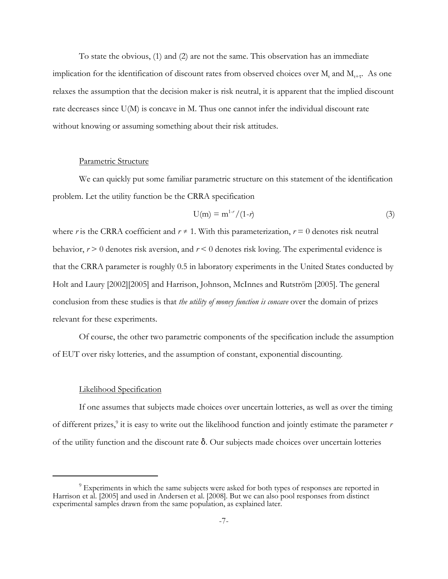To state the obvious, (1) and (2) are not the same. This observation has an immediate implication for the identification of discount rates from observed choices over  $M_t$  and  $M_{t+\tau}$ . As one relaxes the assumption that the decision maker is risk neutral, it is apparent that the implied discount rate decreases since U(M) is concave in M. Thus one cannot infer the individual discount rate without knowing or assuming something about their risk attitudes.

## Parametric Structure

We can quickly put some familiar parametric structure on this statement of the identification problem. Let the utility function be the CRRA specification

$$
U(m) = m^{1-r}/(1-r) \tag{3}
$$

where *r* is the CRRA coefficient and  $r \neq 1$ . With this parameterization,  $r = 0$  denotes risk neutral behavior,  $r > 0$  denotes risk aversion, and  $r < 0$  denotes risk loving. The experimental evidence is that the CRRA parameter is roughly 0.5 in laboratory experiments in the United States conducted by Holt and Laury [2002][2005] and Harrison, Johnson, McInnes and Rutström [2005]. The general conclusion from these studies is that *the utility of money function is concave* over the domain of prizes relevant for these experiments.

Of course, the other two parametric components of the specification include the assumption of EUT over risky lotteries, and the assumption of constant, exponential discounting.

#### Likelihood Specification

If one assumes that subjects made choices over uncertain lotteries, as well as over the timing of different prizes,<sup>9</sup> it is easy to write out the likelihood function and jointly estimate the parameter *r* of the utility function and the discount rate  $\delta$ . Our subjects made choices over uncertain lotteries

<sup>&</sup>lt;sup>9</sup> Experiments in which the same subjects were asked for both types of responses are reported in Harrison et al. [2005] and used in Andersen et al. [2008]. But we can also pool responses from distinct experimental samples drawn from the same population, as explained later.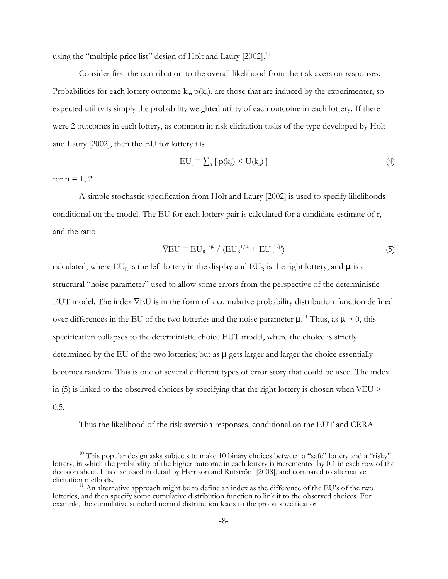using the "multiple price list" design of Holt and Laury [2002].<sup>10</sup>

Consider first the contribution to the overall likelihood from the risk aversion responses. Probabilities for each lottery outcome  $k_n$ ,  $p(k_n)$ , are those that are induced by the experimenter, so expected utility is simply the probability weighted utility of each outcome in each lottery. If there were 2 outcomes in each lottery, as common in risk elicitation tasks of the type developed by Holt and Laury [2002], then the EU for lottery i is

$$
EU_i = \sum_{n} [p(k_n) \times U(k_n)] \tag{4}
$$

for  $n = 1, 2$ .

A simple stochastic specification from Holt and Laury [2002] is used to specify likelihoods conditional on the model. The EU for each lottery pair is calculated for a candidate estimate of r, and the ratio

$$
\nabla \mathbf{E} \mathbf{U} = \mathbf{E} \mathbf{U}_{\mathbf{R}}^{1/\mu} / (\mathbf{E} \mathbf{U}_{\mathbf{R}}^{1/\mu} + \mathbf{E} \mathbf{U}_{\mathbf{L}}^{1/\mu}) \tag{5}
$$

calculated, where  $EU_L$  is the left lottery in the display and  $EU_R$  is the right lottery, and  $\mu$  is a structural "noise parameter" used to allow some errors from the perspective of the deterministic EUT model. The index  $\nabla$ EU is in the form of a cumulative probability distribution function defined over differences in the EU of the two lotteries and the noise parameter  $\mu$ .<sup>11</sup> Thus, as  $\mu \to 0$ , this specification collapses to the deterministic choice EUT model, where the choice is strictly determined by the EU of the two lotteries; but as  $\mu$  gets larger and larger the choice essentially becomes random. This is one of several different types of error story that could be used. The index in (5) is linked to the observed choices by specifying that the right lottery is chosen when  $\nabla EU$  > 0.5.

Thus the likelihood of the risk aversion responses, conditional on the EUT and CRRA

 $10$  This popular design asks subjects to make 10 binary choices between a "safe" lottery and a "risky" lottery, in which the probability of the higher outcome in each lottery is incremented by 0.1 in each row of the decision sheet. It is discussed in detail by Harrison and Rutström [2008], and compared to alternative elicitation methods.

<sup>&</sup>lt;sup>11</sup> An alternative approach might be to define an index as the difference of the EU's of the two lotteries, and then specify some cumulative distribution function to link it to the observed choices. For example, the cumulative standard normal distribution leads to the probit specification.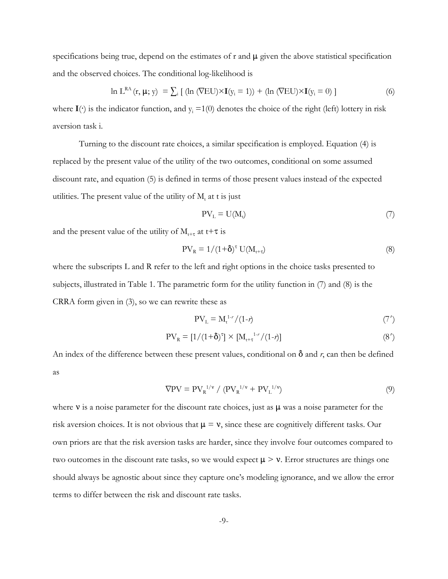specifications being true, depend on the estimates of r and  $\mu$  given the above statistical specification and the observed choices. The conditional log-likelihood is

$$
\ln L^{RA}(\mathbf{r}, \mathbf{\mu}; \mathbf{y}) = \sum_{i} \left[ (\ln (\nabla EU) \times \mathbf{I}(\mathbf{y}_{i} = 1)) + (\ln (\nabla EU) \times \mathbf{I}(\mathbf{y}_{i} = 0) \right] \tag{6}
$$

where  $I(\cdot)$  is the indicator function, and  $y_i = 1(0)$  denotes the choice of the right (left) lottery in risk aversion task i.

Turning to the discount rate choices, a similar specification is employed. Equation (4) is replaced by the present value of the utility of the two outcomes, conditional on some assumed discount rate, and equation (5) is defined in terms of those present values instead of the expected utilities. The present value of the utility of  $M_t$  at t is just

$$
PV_{L} = U(M_{t}) \tag{7}
$$

and the present value of the utility of  $M_{t+\tau}$  at t+ $\tau$  is

$$
PV_R = 1/(1+\delta)^{\tau} U(M_{t+\tau})
$$
\n(8)

where the subscripts L and R refer to the left and right options in the choice tasks presented to subjects, illustrated in Table 1. The parametric form for the utility function in (7) and (8) is the CRRA form given in (3), so we can rewrite these as

$$
PV_{L} = M_{t}^{1-r} / (1-r) \tag{7'}
$$

$$
PV_R = [1/(1+\delta)^{\tau}] \times [M_{t+\tau}^{1-r}/(1-r)] \tag{8'}
$$

An index of the difference between these present values, conditional on  $\delta$  and  $r$ , can then be defined as

$$
\nabla \mathbf{PV} = \mathbf{PV}_{\mathbf{R}}^{1/\mathbf{v}} / (\mathbf{PV}_{\mathbf{R}}^{1/\mathbf{v}} + \mathbf{PV}_{\mathbf{L}}^{1/\mathbf{v}})
$$
(9)

where  $v$  is a noise parameter for the discount rate choices, just as  $\mu$  was a noise parameter for the risk aversion choices. It is not obvious that  $\mu = v$ , since these are cognitively different tasks. Our own priors are that the risk aversion tasks are harder, since they involve four outcomes compared to two outcomes in the discount rate tasks, so we would expect  $\mu > v$ . Error structures are things one should always be agnostic about since they capture one's modeling ignorance, and we allow the error terms to differ between the risk and discount rate tasks.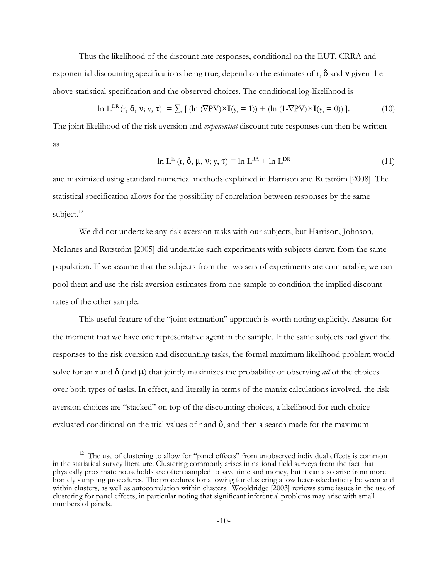Thus the likelihood of the discount rate responses, conditional on the EUT, CRRA and exponential discounting specifications being true, depend on the estimates of r,  $\delta$  and  $\nu$  given the above statistical specification and the observed choices. The conditional log-likelihood is

$$
\ln L^{DR}(\mathbf{r}, \delta, \mathbf{v}; \mathbf{y}, \tau) = \sum_{i} \left[ (\ln (\nabla P V) \times \mathbf{I}(\mathbf{y}_i = 1)) + (\ln (1 - \nabla P V) \times \mathbf{I}(\mathbf{y}_i = 0)) \right]. \tag{10}
$$

The joint likelihood of the risk aversion and *exponential* discount rate responses can then be written as

$$
\ln L^{E} (r, \delta, \mu, v; y, \tau) = \ln L^{RA} + \ln L^{DR}
$$
\n(11)

and maximized using standard numerical methods explained in Harrison and Rutström [2008]. The statistical specification allows for the possibility of correlation between responses by the same subject.<sup>12</sup>

We did not undertake any risk aversion tasks with our subjects, but Harrison, Johnson, McInnes and Rutström [2005] did undertake such experiments with subjects drawn from the same population. If we assume that the subjects from the two sets of experiments are comparable, we can pool them and use the risk aversion estimates from one sample to condition the implied discount rates of the other sample.

This useful feature of the "joint estimation" approach is worth noting explicitly. Assume for the moment that we have one representative agent in the sample. If the same subjects had given the responses to the risk aversion and discounting tasks, the formal maximum likelihood problem would solve for an r and  $\delta$  (and  $\mu$ ) that jointly maximizes the probability of observing *all* of the choices over both types of tasks. In effect, and literally in terms of the matrix calculations involved, the risk aversion choices are "stacked" on top of the discounting choices, a likelihood for each choice evaluated conditional on the trial values of  $r$  and  $\delta$ , and then a search made for the maximum

<sup>&</sup>lt;sup>12</sup> The use of clustering to allow for "panel effects" from unobserved individual effects is common in the statistical survey literature. Clustering commonly arises in national field surveys from the fact that physically proximate households are often sampled to save time and money, but it can also arise from more homely sampling procedures. The procedures for allowing for clustering allow heteroskedasticity between and within clusters, as well as autocorrelation within clusters. Wooldridge [2003] reviews some issues in the use of clustering for panel effects, in particular noting that significant inferential problems may arise with small numbers of panels.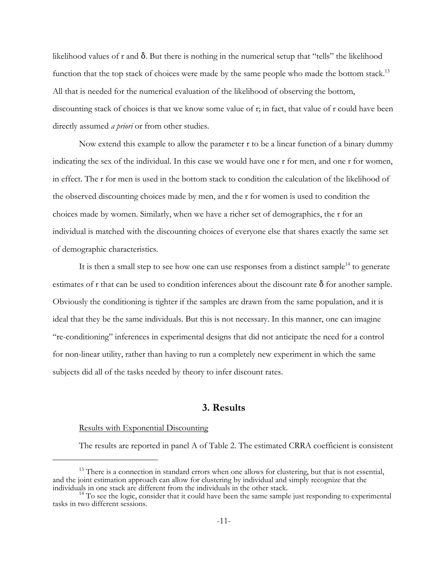likelihood values of  $r$  and  $\delta$ . But there is nothing in the numerical setup that "tells" the likelihood function that the top stack of choices were made by the same people who made the bottom stack.<sup>13</sup> All that is needed for the numerical evaluation of the likelihood of observing the bottom, discounting stack of choices is that we know some value of r; in fact, that value of r could have been directly assumed *a priori* or from other studies.

Now extend this example to allow the parameter r to be a linear function of a binary dummy indicating the sex of the individual. In this case we would have one r for men, and one r for women, in effect. The r for men is used in the bottom stack to condition the calculation of the likelihood of the observed discounting choices made by men, and the r for women is used to condition the choices made by women. Similarly, when we have a richer set of demographics, the r for an individual is matched with the discounting choices of everyone else that shares exactly the same set of demographic characteristics.

It is then a small step to see how one can use responses from a distinct sample<sup>14</sup> to generate estimates of r that can be used to condition inferences about the discount rate  $\delta$  for another sample. Obviously the conditioning is tighter if the samples are drawn from the same population, and it is ideal that they be the same individuals. But this is not necessary. In this manner, one can imagine "re-conditioning" inferences in experimental designs that did not anticipate the need for a control for non-linear utility, rather than having to run a completely new experiment in which the same subjects did all of the tasks needed by theory to infer discount rates.

## **3. Results**

#### Results with Exponential Discounting

The results are reported in panel A of Table 2. The estimated CRRA coefficient is consistent

<sup>&</sup>lt;sup>13</sup> There is a connection in standard errors when one allows for clustering, but that is not essential, and the joint estimation approach can allow for clustering by individual and simply recognize that the individuals in one stack are different from the individuals in the other stack.

 $14$  To see the logic, consider that it could have been the same sample just responding to experimental tasks in two different sessions.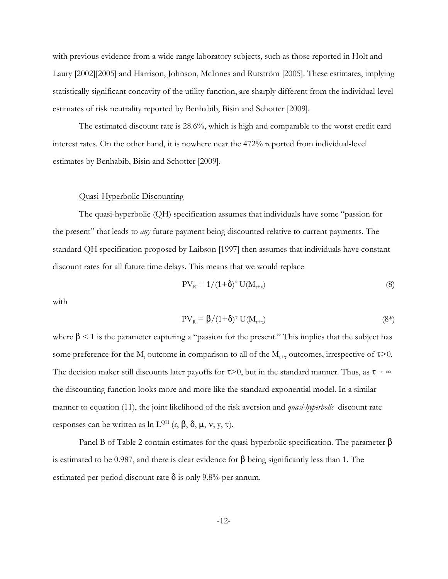with previous evidence from a wide range laboratory subjects, such as those reported in Holt and Laury [2002][2005] and Harrison, Johnson, McInnes and Rutström [2005]. These estimates, implying statistically significant concavity of the utility function, are sharply different from the individual-level estimates of risk neutrality reported by Benhabib, Bisin and Schotter [2009].

The estimated discount rate is 28.6%, which is high and comparable to the worst credit card interest rates. On the other hand, it is nowhere near the 472% reported from individual-level estimates by Benhabib, Bisin and Schotter [2009].

#### Quasi-Hyperbolic Discounting

The quasi-hyperbolic (QH) specification assumes that individuals have some "passion for the present" that leads to *any* future payment being discounted relative to current payments. The standard QH specification proposed by Laibson [1997] then assumes that individuals have constant discount rates for all future time delays. This means that we would replace

$$
PV_R = 1/(1+\delta)^{\tau} U(M_{t+\tau})
$$
\n(8)

with

$$
PV_R = \beta / (1 + \delta)^{\tau} U(M_{t + \tau})
$$
\n(8\*)

where  $\beta$  < 1 is the parameter capturing a "passion for the present." This implies that the subject has some preference for the  $M_t$  outcome in comparison to all of the  $M_{t+\tau}$  outcomes, irrespective of  $\tau$ >0. The decision maker still discounts later payoffs for  $\tau$ >0, but in the standard manner. Thus, as  $\tau \to \infty$ the discounting function looks more and more like the standard exponential model. In a similar manner to equation (11), the joint likelihood of the risk aversion and *quasi-hyperbolic* discount rate responses can be written as  $\ln L^{\text{QH}}$  (r,  $\beta$ ,  $\delta$ ,  $\mu$ , v; y,  $\tau$ ).

Panel B of Table 2 contain estimates for the quasi-hyperbolic specification. The parameter  $\beta$ is estimated to be 0.987, and there is clear evidence for  $\beta$  being significantly less than 1. The estimated per-period discount rate  $\delta$  is only 9.8% per annum.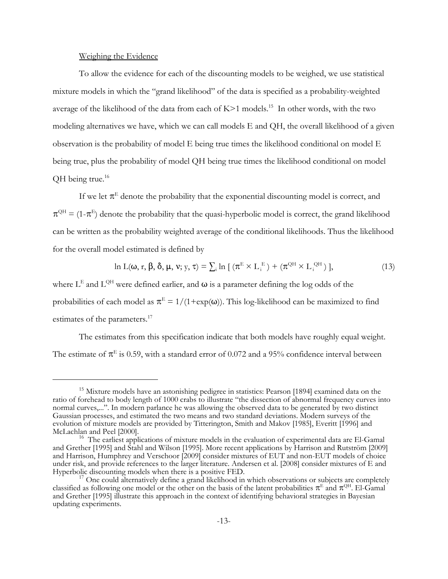### Weighing the Evidence

To allow the evidence for each of the discounting models to be weighed, we use statistical mixture models in which the "grand likelihood" of the data is specified as a probability-weighted average of the likelihood of the data from each of  $K>1$  models.<sup>15</sup> In other words, with the two modeling alternatives we have, which we can call models E and QH, the overall likelihood of a given observation is the probability of model E being true times the likelihood conditional on model E being true, plus the probability of model QH being true times the likelihood conditional on model QH being true.<sup>16</sup>

If we let  $\pi^E$  denote the probability that the exponential discounting model is correct, and  $\pi^{\text{QH}} = (1 - \pi^{\text{E}})$  denote the probability that the quasi-hyperbolic model is correct, the grand likelihood can be written as the probability weighted average of the conditional likelihoods. Thus the likelihood for the overall model estimated is defined by

$$
\ln L(\omega, r, \beta, \delta, \mu, v; y, \tau) = \sum_{i} \ln \left[ \left( \pi^{E} \times L_{i}^{E} \right) + \left( \pi^{QH} \times L_{i}^{QH} \right) \right],\tag{13}
$$

where  $L<sup>E</sup>$  and  $L<sup>QH</sup>$  were defined earlier, and  $\omega$  is a parameter defining the log odds of the probabilities of each model as  $\pi^E = 1/(1+\exp(\omega))$ . This log-likelihood can be maximized to find estimates of the parameters.<sup>17</sup>

The estimates from this specification indicate that both models have roughly equal weight. The estimate of  $\pi^E$  is 0.59, with a standard error of 0.072 and a 95% confidence interval between

<sup>&</sup>lt;sup>15</sup> Mixture models have an astonishing pedigree in statistics: Pearson [1894] examined data on the ratio of forehead to body length of 1000 crabs to illustrate "the dissection of abnormal frequency curves into normal curves,...". In modern parlance he was allowing the observed data to be generated by two distinct Gaussian processes, and estimated the two means and two standard deviations. Modern surveys of the evolution of mixture models are provided by Titterington, Smith and Makov [1985], Everitt [1996] and McLachlan and Peel [2000].<br><sup>16</sup> The earliest applications of mixture models in the evaluation of experimental data are El-Gamal

and Grether [1995] and Stahl and Wilson [1995]. More recent applications by Harrison and Rutström [2009] and Harrison, Humphrey and Verschoor [2009] consider mixtures of EUT and non-EUT models of choice under risk, and provide references to the larger literature. Andersen et al. [2008] consider mixtures of E and<br>Hyperbolic discounting models when there is a positive FED.

 $^{17}$  One could alternatively define a grand likelihood in which observations or subjects are completely classified as following one model or the other on the basis of the latent probabilities  $\pi^E$  and  $\pi^{QH}$ . El-Gamal and Grether [1995] illustrate this approach in the context of identifying behavioral strategies in Bayesian updating experiments.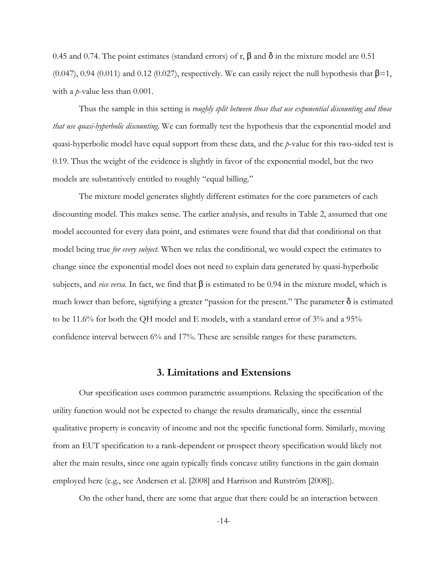0.45 and 0.74. The point estimates (standard errors) of r,  $\beta$  and  $\delta$  in the mixture model are 0.51  $(0.047)$ , 0.94  $(0.011)$  and 0.12  $(0.027)$ , respectively. We can easily reject the null hypothesis that  $\beta=1$ , with a *p*-value less than 0.001.

Thus the sample in this setting is *roughly split between those that use exponential discounting and those that use quasi-hyperbolic discounting*. We can formally test the hypothesis that the exponential model and quasi-hyperbolic model have equal support from these data, and the *p*-value for this two-sided test is 0.19. Thus the weight of the evidence is slightly in favor of the exponential model, but the two models are substantively entitled to roughly "equal billing."

The mixture model generates slightly different estimates for the core parameters of each discounting model. This makes sense. The earlier analysis, and results in Table 2, assumed that one model accounted for every data point, and estimates were found that did that conditional on that model being true *for every subject*. When we relax the conditional, we would expect the estimates to change since the exponential model does not need to explain data generated by quasi-hyperbolic subjects, and *vice versa*. In fact, we find that  $\beta$  is estimated to be 0.94 in the mixture model, which is much lower than before, signifying a greater "passion for the present." The parameter  $\delta$  is estimated to be 11.6% for both the QH model and E models, with a standard error of 3% and a 95% confidence interval between 6% and 17%. These are sensible ranges for these parameters.

### **3. Limitations and Extensions**

Our specification uses common parametric assumptions. Relaxing the specification of the utility function would not be expected to change the results dramatically, since the essential qualitative property is concavity of income and not the specific functional form. Similarly, moving from an EUT specification to a rank-dependent or prospect theory specification would likely not alter the main results, since one again typically finds concave utility functions in the gain domain employed here (e.g., see Andersen et al. [2008] and Harrison and Rutström [2008]).

On the other hand, there are some that argue that there could be an interaction between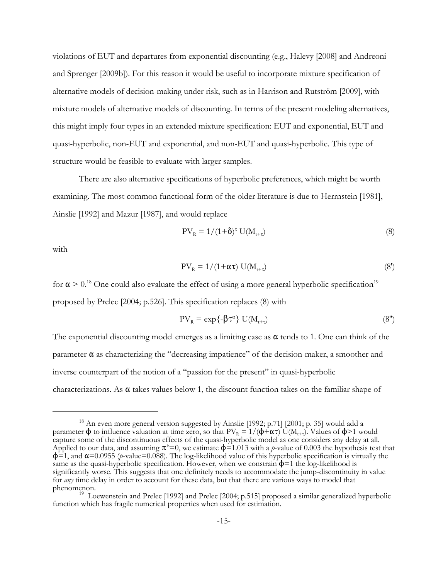violations of EUT and departures from exponential discounting (e.g., Halevy [2008] and Andreoni and Sprenger [2009b]). For this reason it would be useful to incorporate mixture specification of alternative models of decision-making under risk, such as in Harrison and Rutström [2009], with mixture models of alternative models of discounting. In terms of the present modeling alternatives, this might imply four types in an extended mixture specification: EUT and exponential, EUT and quasi-hyperbolic, non-EUT and exponential, and non-EUT and quasi-hyperbolic. This type of structure would be feasible to evaluate with larger samples.

There are also alternative specifications of hyperbolic preferences, which might be worth examining. The most common functional form of the older literature is due to Herrnstein [1981], Ainslie [1992] and Mazur [1987], and would replace

$$
PV_R = 1/(1+\delta)^{\tau} U(M_{t+\tau})
$$
\n(8)

with

$$
PV_R = 1/(1+\alpha\tau) U(M_{t+\tau})
$$
\n(8')

for  $\alpha > 0.18$  One could also evaluate the effect of using a more general hyperbolic specification<sup>19</sup> proposed by Prelec [2004; p.526]. This specification replaces (8) with

$$
PV_{R} = \exp\{-\beta \tau^{\alpha}\} U(M_{t+\tau})
$$
\n(8")

The exponential discounting model emerges as a limiting case as  $\alpha$  tends to 1. One can think of the parameter  $\alpha$  as characterizing the "decreasing impatience" of the decision-maker, a smoother and inverse counterpart of the notion of a "passion for the present" in quasi-hyperbolic characterizations. As  $\alpha$  takes values below 1, the discount function takes on the familiar shape of

 $^{18}$  An even more general version suggested by Ainslie [1992; p.71] [2001; p. 35] would add a parameter  $\phi$  to influence valuation at time zero, so that  $PV_R = 1/(\phi + \alpha \tau) U(M_{t+\tau})$ . Values of  $\phi > 1$  would capture some of the discontinuous effects of the quasi-hyperbolic model as one considers any delay at all. Applied to our data, and assuming  $\pi^{E}=0$ , we estimate  $\phi=1.013$  with a p-value of 0.003 the hypothesis test that  $\phi=1$ , and  $\alpha=0.0955$  (p-value=0.088). The log-likelihood value of this hyperbolic specification is vir same as the quasi-hyperbolic specification. However, when we constrain  $\phi=1$  the log-likelihood is significantly worse. This suggests that one definitely needs to accommodate the jump-discontinuity in value for *any* time delay in order to account for these data, but that there are various ways to model that

phenomenon.<br><sup>19</sup> Loewenstein and Prelec [1992] and Prelec [2004; p.515] proposed a similar generalized hyperbolic function which has fragile numerical properties when used for estimation.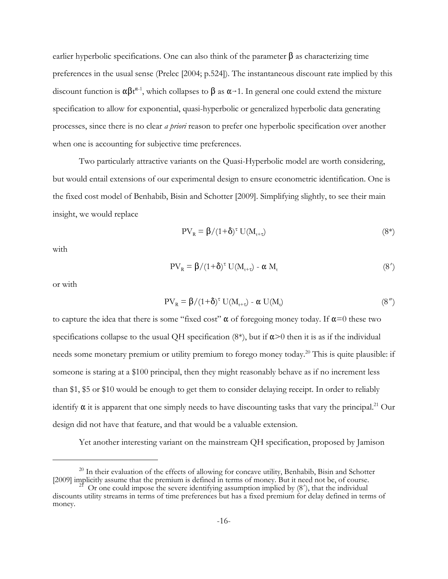earlier hyperbolic specifications. One can also think of the parameter  $\beta$  as characterizing time preferences in the usual sense (Prelec [2004; p.524]). The instantaneous discount rate implied by this discount function is  $\alpha\beta t^{\alpha-1}$ , which collapses to  $\beta$  as  $\alpha\rightarrow 1$ . In general one could extend the mixture specification to allow for exponential, quasi-hyperbolic or generalized hyperbolic data generating processes, since there is no clear *a priori* reason to prefer one hyperbolic specification over another when one is accounting for subjective time preferences.

Two particularly attractive variants on the Quasi-Hyperbolic model are worth considering, but would entail extensions of our experimental design to ensure econometric identification. One is the fixed cost model of Benhabib, Bisin and Schotter [2009]. Simplifying slightly, to see their main insight, we would replace

$$
PV_R = \beta / (1 + \delta)^{\tau} U(M_{t + \tau})
$$
\n(8\*)

with

$$
PV_R = \beta / (1 + \delta)^{\tau} U(M_{t + \tau}) - \alpha M_t
$$
\n(8')

or with

$$
PV_R = \beta/(1+\delta)^{\tau} U(M_{t+\tau}) - \alpha U(M_t)
$$
\n(8")

to capture the idea that there is some "fixed cost"  $\alpha$  of foregoing money today. If  $\alpha=0$  these two specifications collapse to the usual QH specification  $(8^*)$ , but if  $\alpha$ >0 then it is as if the individual needs some monetary premium or utility premium to forego money today.<sup>20</sup> This is quite plausible: if someone is staring at a \$100 principal, then they might reasonably behave as if no increment less than \$1, \$5 or \$10 would be enough to get them to consider delaying receipt. In order to reliably identify  $\alpha$  it is apparent that one simply needs to have discounting tasks that vary the principal.<sup>21</sup> Our design did not have that feature, and that would be a valuable extension.

Yet another interesting variant on the mainstream QH specification, proposed by Jamison

 $^{20}$  In their evaluation of the effects of allowing for concave utility, Benhabib, Bisin and Schotter [2009] implicitly assume that the premium is defined in terms of money. But it need not be, of course. Or one could impose the severe identifying assumption implied by  $(8')$ , that the individual discounts utility streams in terms of time preferences but has a fixed premium for delay defined in terms of money.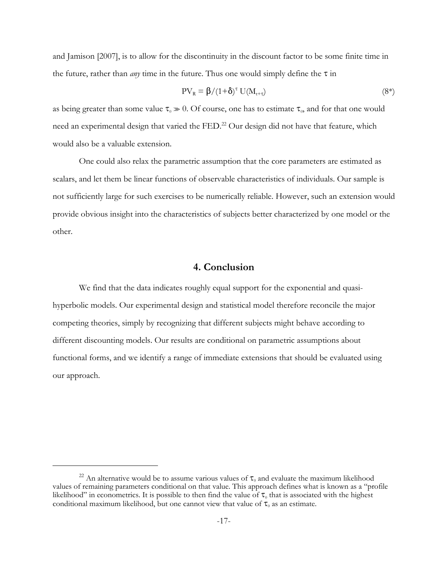and Jamison [2007], is to allow for the discontinuity in the discount factor to be some finite time in the future, rather than *any* time in the future. Thus one would simply define the  $\tau$  in

$$
PV_R = \beta / (1 + \delta)^{\tau} U(M_{t + \tau})
$$
\n(8\*)

as being greater than some value  $\tau_0 \gg 0$ . Of course, one has to estimate  $\tau_0$ , and for that one would need an experimental design that varied the FED.<sup>22</sup> Our design did not have that feature, which would also be a valuable extension.

One could also relax the parametric assumption that the core parameters are estimated as scalars, and let them be linear functions of observable characteristics of individuals. Our sample is not sufficiently large for such exercises to be numerically reliable. However, such an extension would provide obvious insight into the characteristics of subjects better characterized by one model or the other.

# **4. Conclusion**

We find that the data indicates roughly equal support for the exponential and quasihyperbolic models. Our experimental design and statistical model therefore reconcile the major competing theories, simply by recognizing that different subjects might behave according to different discounting models. Our results are conditional on parametric assumptions about functional forms, and we identify a range of immediate extensions that should be evaluated using our approach.

<sup>&</sup>lt;sup>22</sup> An alternative would be to assume various values of  $\tau_0$  and evaluate the maximum likelihood values of remaining parameters conditional on that value. This approach defines what is known as a "profile likelihood" in econometrics. It is possible to then find the value of  $\tau_0$  that is associated with the highest conditional maximum likelihood, but one cannot view that value of  $\tau_0$  as an estimate.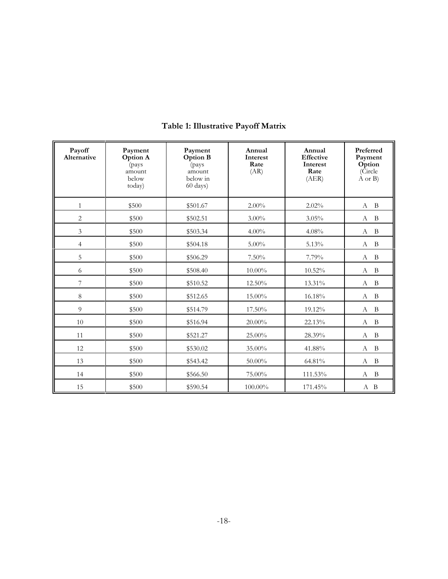| Payoff<br>Alternative | Payment<br>Option A<br>(pays<br>amount<br>below<br>today) | Payment<br>Option B<br>(pays<br>amount<br>below in<br>60 days) | Annual<br>Interest<br>Rate<br>(AR) | Annual<br><b>Effective</b><br>Interest<br>Rate<br>(AER) | Preferred<br>Payment<br>Option<br>(Circle<br>A or B) |
|-----------------------|-----------------------------------------------------------|----------------------------------------------------------------|------------------------------------|---------------------------------------------------------|------------------------------------------------------|
| $\mathbf{1}$          | \$500                                                     | \$501.67                                                       | $2.00\%$                           | 2.02%                                                   | B<br>$\mathbf{A}$                                    |
| $\overline{c}$        | \$500                                                     | \$502.51                                                       | $3.00\%$                           | 3.05%                                                   | B<br>A                                               |
| $\mathfrak{Z}$        | \$500                                                     | \$503.34                                                       | $4.00\%$                           | 4.08%                                                   | B<br>A                                               |
| $\overline{4}$        | \$500                                                     | \$504.18                                                       | $5.00\%$                           | 5.13%                                                   | $\mathbf{B}$<br>A                                    |
| 5                     | \$500                                                     | \$506.29                                                       | 7.50%                              | 7.79%                                                   | B<br>A                                               |
| 6                     | \$500                                                     | \$508.40                                                       | $10.00\%$                          | 10.52%                                                  | $\mathbf{B}$<br>А                                    |
| 7                     | \$500                                                     | \$510.52                                                       | 12.50%                             | 13.31%                                                  | B<br>$\mathbf{A}$                                    |
| 8                     | \$500                                                     | \$512.65                                                       | 15.00%                             | 16.18%                                                  | B<br>А                                               |
| 9                     | \$500                                                     | \$514.79                                                       | 17.50%                             | 19.12%                                                  | B<br>А                                               |
| 10                    | \$500                                                     | \$516.94                                                       | $20.00\%$                          | 22.13%                                                  | B<br>A                                               |
| 11                    | \$500                                                     | \$521.27                                                       | 25.00%                             | 28.39%                                                  | B<br>А                                               |
| 12                    | \$500                                                     | \$530.02                                                       | 35.00%                             | 41.88%                                                  | B<br>A                                               |
| 13                    | \$500                                                     | \$543.42                                                       | 50.00%                             | 64.81%                                                  | $\mathbf{B}$<br>A                                    |
| 14                    | \$500                                                     | \$566.50                                                       | 75.00%                             | 111.53%                                                 | B<br>A                                               |
| 15                    | \$500                                                     | \$590.54                                                       | 100.00%                            | 171.45%                                                 | A B                                                  |

# **Table 1: Illustrative Payoff Matrix**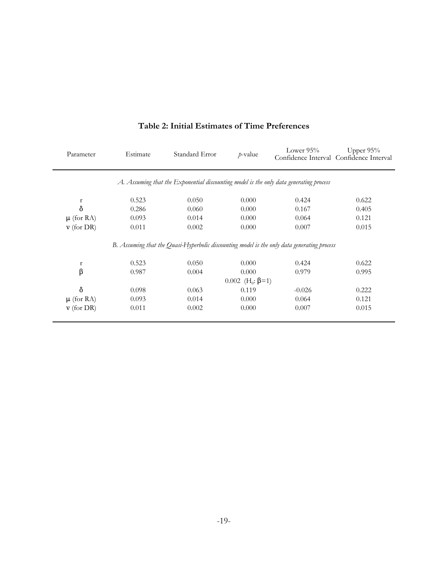|                                                                               |       |          | Confidence Interval Confidence Interval                                                                                                                                                                                      |
|-------------------------------------------------------------------------------|-------|----------|------------------------------------------------------------------------------------------------------------------------------------------------------------------------------------------------------------------------------|
|                                                                               |       |          |                                                                                                                                                                                                                              |
| 0.050                                                                         | 0.000 | 0.424    | 0.622                                                                                                                                                                                                                        |
| 0.060                                                                         | 0.000 | 0.167    | 0.405                                                                                                                                                                                                                        |
| 0.014                                                                         | 0.000 | 0.064    | 0.121                                                                                                                                                                                                                        |
| 0.002                                                                         | 0.000 | 0.007    | 0.015                                                                                                                                                                                                                        |
|                                                                               |       |          |                                                                                                                                                                                                                              |
| 0.050                                                                         | 0.000 | 0.424    | 0.622                                                                                                                                                                                                                        |
| 0.004                                                                         | 0.000 | 0.979    | 0.995                                                                                                                                                                                                                        |
|                                                                               |       |          |                                                                                                                                                                                                                              |
| 0.063                                                                         | 0.119 | $-0.026$ | 0.222                                                                                                                                                                                                                        |
| 0.014                                                                         | 0.000 | 0.064    | 0.121                                                                                                                                                                                                                        |
| 0.002                                                                         | 0.000 | 0.007    | 0.015                                                                                                                                                                                                                        |
| 0.523<br>0.286<br>0.093<br>0.011<br>0.523<br>0.987<br>0.098<br>0.093<br>0.011 |       |          | A. Assuming that the Exponential discounting model is the only data generating process<br>B. Assuming that the Quasi-Hyperbolic discounting model is the only data generating process<br>0.002 (H <sub>0</sub> : $\beta$ =1) |

# **Table 2: Initial Estimates of Time Preferences**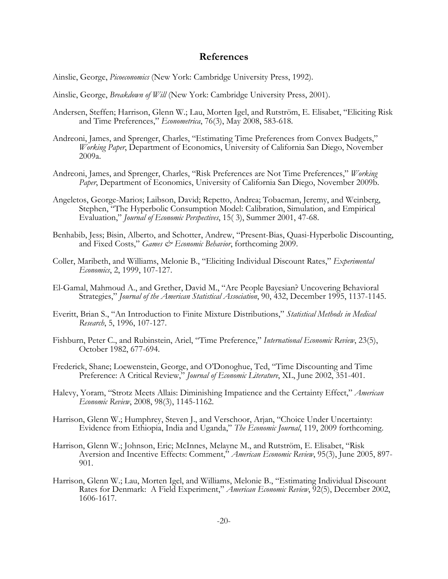## **References**

Ainslie, George, *Picoeconomics* (New York: Cambridge University Press, 1992).

- Ainslie, George, *Breakdown of Will* (New York: Cambridge University Press, 2001).
- Andersen, Steffen; Harrison, Glenn W.; Lau, Morten Igel, and Rutström, E. Elisabet, "Eliciting Risk and Time Preferences," *Econometrica*, 76(3), May 2008, 583-618.
- Andreoni, James, and Sprenger, Charles, "Estimating Time Preferences from Convex Budgets," *Working Paper*, Department of Economics, University of California San Diego, November 2009a.
- Andreoni, James, and Sprenger, Charles, "Risk Preferences are Not Time Preferences," *Working Paper*, Department of Economics, University of California San Diego, November 2009b.
- Angeletos, George-Marios; Laibson, David; Repetto, Andrea; Tobacman, Jeremy, and Weinberg, Stephen, "The Hyperbolic Consumption Model: Calibration, Simulation, and Empirical Evaluation," *Journal of Economic Perspectives*, 15( 3), Summer 2001, 47-68.
- Benhabib, Jess; Bisin, Alberto, and Schotter, Andrew, "Present-Bias, Quasi-Hyperbolic Discounting, and Fixed Costs," *Games & Economic Behavior*, forthcoming 2009.
- Coller, Maribeth, and Williams, Melonie B., "Eliciting Individual Discount Rates," *Experimental Economics*, 2, 1999, 107-127.
- El-Gamal, Mahmoud A., and Grether, David M., "Are People Bayesian? Uncovering Behavioral Strategies," *Journal of the American Statistical Association*, 90, 432, December 1995, 1137-1145.
- Everitt, Brian S., "An Introduction to Finite Mixture Distributions," *Statistical Methods in Medical Research*, 5, 1996, 107-127.
- Fishburn, Peter C., and Rubinstein, Ariel, "Time Preference," *International Economic Review*, 23(5), October 1982, 677-694.
- Frederick, Shane; Loewenstein, George, and O'Donoghue, Ted, "Time Discounting and Time Preference: A Critical Review," *Journal of Economic Literature*, XL, June 2002, 351-401.
- Halevy, Yoram, "Strotz Meets Allais: Diminishing Impatience and the Certainty Effect," *American Economic Review*, 2008, 98(3), 1145-1162.
- Harrison, Glenn W.; Humphrey, Steven J., and Verschoor, Arjan, "Choice Under Uncertainty: Evidence from Ethiopia, India and Uganda," *The Economic Journal*, 119, 2009 forthcoming.
- Harrison, Glenn W.; Johnson, Eric; McInnes, Melayne M., and Rutström, E. Elisabet, "Risk Aversion and Incentive Effects: Comment," *American Economic Review*, 95(3), June 2005, 897- 901.
- Harrison, Glenn W.; Lau, Morten Igel, and Williams, Melonie B., "Estimating Individual Discount Rates for Denmark: A Field Experiment," *American Economic Review*, 92(5), December 2002, 1606-1617.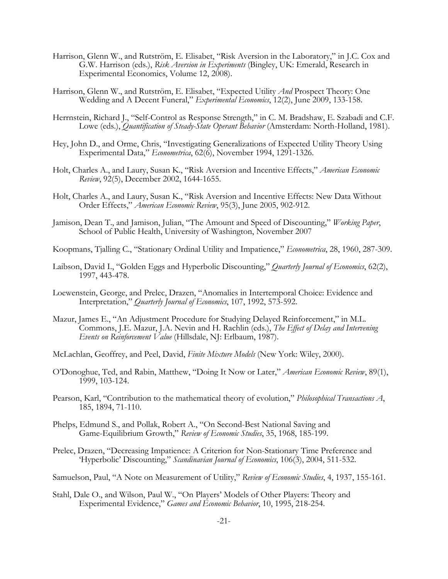- Harrison, Glenn W., and Rutström, E. Elisabet, "Risk Aversion in the Laboratory," in J.C. Cox and G.W. Harrison (eds.), *Risk Aversion in Experiments* (Bingley, UK: Emerald, Research in Experimental Economics, Volume 12, 2008).
- Harrison, Glenn W., and Rutström, E. Elisabet, "Expected Utility *And* Prospect Theory: One Wedding and A Decent Funeral," *Experimental Economics*, 12(2), June 2009, 133-158.
- Herrnstein, Richard J., "Self-Control as Response Strength," in C. M. Bradshaw, E. Szabadi and C.F. Lowe (eds.), *Quantification of Steady-State Operant Behavior* (Amsterdam: North-Holland, 1981).
- Hey, John D., and Orme, Chris, "Investigating Generalizations of Expected Utility Theory Using Experimental Data," *Econometrica*, 62(6), November 1994, 1291-1326.
- Holt, Charles A., and Laury, Susan K., "Risk Aversion and Incentive Effects," *American Economic Review*, 92(5), December 2002, 1644-1655.
- Holt, Charles A., and Laury, Susan K., "Risk Aversion and Incentive Effects: New Data Without Order Effects," *American Economic Review*, 95(3), June 2005, 902-912.
- Jamison, Dean T., and Jamison, Julian, "The Amount and Speed of Discounting," *Working Paper*, School of Public Health, University of Washington, November 2007
- Koopmans, Tjalling C., "Stationary Ordinal Utility and Impatience," *Econometrica*, 28, 1960, 287-309.
- Laibson, David I., "Golden Eggs and Hyperbolic Discounting," *Quarterly Journal of Economics*, 62(2), 1997, 443-478.
- Loewenstein, George, and Prelec, Drazen, "Anomalies in Intertemporal Choice: Evidence and Interpretation," *Quarterly Journal of Economics*, 107, 1992, 573-592.
- Mazur, James E., "An Adjustment Procedure for Studying Delayed Reinforcement," in M.L. Commons, J.E. Mazur, J.A. Nevin and H. Rachlin (eds.), *The Effect of Delay and Intervening Events on Reinforcement Value* (Hillsdale, NJ: Erlbaum, 1987).
- McLachlan, Geoffrey, and Peel, David, *Finite Mixture Models* (New York: Wiley, 2000).
- O'Donoghue, Ted, and Rabin, Matthew, "Doing It Now or Later," *American Economic Review*, 89(1), 1999, 103-124.
- Pearson, Karl, "Contribution to the mathematical theory of evolution," *Philosophical Transactions A*, 185, 1894, 71-110.
- Phelps, Edmund S., and Pollak, Robert A., "On Second-Best National Saving and Game-Equilibrium Growth," *Review of Economic Studies*, 35, 1968, 185-199.
- Prelec, Drazen, "Decreasing Impatience: A Criterion for Non-Stationary Time Preference and 'Hyperbolic' Discounting," *Scandinavian Journal of Economics*, 106(3), 2004, 511-532.
- Samuelson, Paul, "A Note on Measurement of Utility," *Review of Economic Studies*, 4, 1937, 155-161.
- Stahl, Dale O., and Wilson, Paul W., "On Players' Models of Other Players: Theory and Experimental Evidence," *Games and Economic Behavior*, 10, 1995, 218-254.